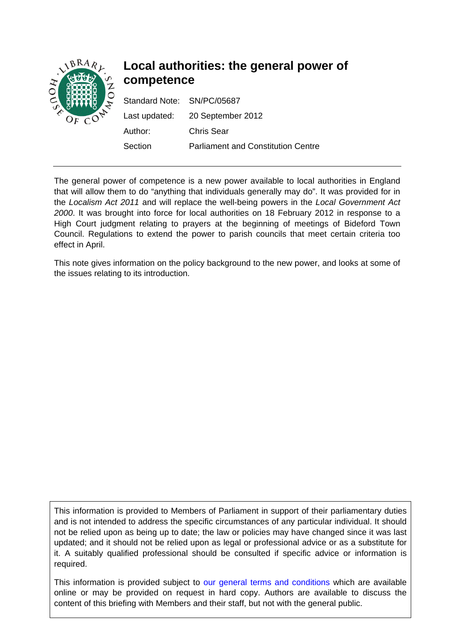

# **Local authorities: the general power of competence**

| Standard Note: SN/PC/05687 |                                           |
|----------------------------|-------------------------------------------|
|                            | Last updated: 20 September 2012           |
| Author:                    | <b>Chris Sear</b>                         |
| Section                    | <b>Parliament and Constitution Centre</b> |

The general power of competence is a new power available to local authorities in England that will allow them to do "anything that individuals generally may do". It was provided for in the *Localism Act 2011* and will replace the well-being powers in the *Local Government Act 2000*. It was brought into force for local authorities on 18 February 2012 in response to a High Court judgment relating to prayers at the beginning of meetings of Bideford Town Council. Regulations to extend the power to parish councils that meet certain criteria too effect in April.

This note gives information on the policy background to the new power, and looks at some of the issues relating to its introduction.

This information is provided to Members of Parliament in support of their parliamentary duties and is not intended to address the specific circumstances of any particular individual. It should not be relied upon as being up to date; the law or policies may have changed since it was last updated; and it should not be relied upon as legal or professional advice or as a substitute for it. A suitably qualified professional should be consulted if specific advice or information is required.

This information is provided subject to [our general terms and conditions](http://www.parliament.uk/site_information/parliamentary_copyright.cfm) which are available online or may be provided on request in hard copy. Authors are available to discuss the content of this briefing with Members and their staff, but not with the general public.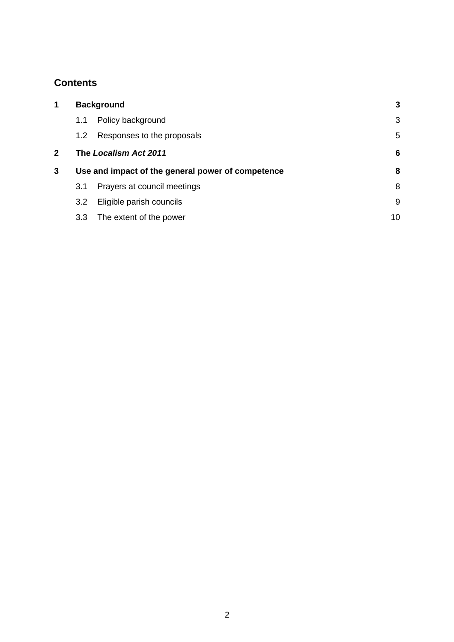## **Contents**

| 1            | <b>Background</b>                                 |                             | $\mathbf{3}$ |
|--------------|---------------------------------------------------|-----------------------------|--------------|
|              | 1.1                                               | Policy background           | 3            |
|              | 1.2                                               | Responses to the proposals  | 5            |
| $\mathbf{2}$ | The Localism Act 2011                             |                             | 6            |
| 3            | Use and impact of the general power of competence |                             | 8            |
|              | 3.1                                               | Prayers at council meetings | 8            |
|              | 3.2                                               | Eligible parish councils    | 9            |
|              | 3.3                                               | The extent of the power     | 10           |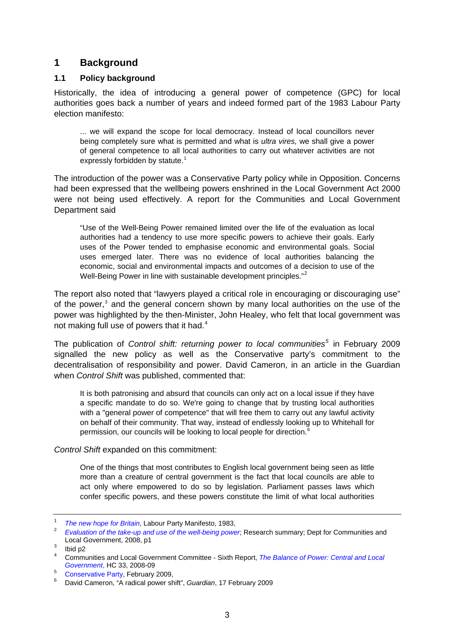## <span id="page-2-0"></span>**1 Background**

#### **1.1 Policy background**

Historically, the idea of introducing a general power of competence (GPC) for local authorities goes back a number of years and indeed formed part of the 1983 Labour Party election manifesto:

... we will expand the scope for local democracy. Instead of local councillors never being completely sure what is permitted and what is *ultra vires,* we shall give a power of general competence to all local authorities to carry out whatever activities are not expressly forbidden by statute.<sup>[1](#page-2-1)</sup>

The introduction of the power was a Conservative Party policy while in Opposition. Concerns had been expressed that the wellbeing powers enshrined in the Local Government Act 2000 were not being used effectively. A report for the Communities and Local Government Department said

"Use of the Well-Being Power remained limited over the life of the evaluation as local authorities had a tendency to use more specific powers to achieve their goals. Early uses of the Power tended to emphasise economic and environmental goals. Social uses emerged later. There was no evidence of local authorities balancing the economic, social and environmental impacts and outcomes of a decision to use of the Well-Being Power in line with sustainable development principles."<sup>[2](#page-2-2)</sup>

The report also noted that "lawyers played a critical role in encouraging or discouraging use" of the power,<sup>[3](#page-2-3)</sup> and the general concern shown by many local authorities on the use of the power was highlighted by the then-Minister, John Healey, who felt that local government was not making full use of powers that it had.<sup>[4](#page-2-4)</sup>

The publication of *Control shift: returning power to local communities[5](#page-2-5)* in February 2009 signalled the new policy as well as the Conservative party's commitment to the decentralisation of responsibility and power. David Cameron, in an article in the Guardian when *Control Shift* was published, commented that:

It is both patronising and absurd that councils can only act on a local issue if they have a specific mandate to do so. We're going to change that by trusting local authorities with a "general power of competence" that will free them to carry out any lawful activity on behalf of their community. That way, instead of endlessly looking up to Whitehall for permission, our councils will be looking to local people for direction.<sup>[6](#page-2-6)</sup>

#### *Control Shift* expanded on this commitment:

One of the things that most contributes to English local government being seen as little more than a creature of central government is the fact that local councils are able to act only where empowered to do so by legislation. Parliament passes laws which confer specific powers, and these powers constitute the limit of what local authorities

<span id="page-2-2"></span><span id="page-2-1"></span><sup>1</sup> <sup>1</sup> *The new hope for Britain*, Labour Party Manifesto, 1983,

*[Evaluation of the take-up and use of the well-being power](http://www.communities.gov.uk/publications/localgovernment/evaluationwellbeingpower)*; Research summary; Dept for Communities and Local Government, 2008, p1

<span id="page-2-3"></span> $3$  Ibid p2

<span id="page-2-4"></span><sup>4</sup> Communities and Local Government Committee - Sixth Report, *[The Balance of Power: Central and Local](http://www.parliament.the-stationery-office.co.uk/pa/cm200809/cmselect/cmcomloc/33/33i.pdf)*  **Government[,](http://www.parliament.the-stationery-office.co.uk/pa/cm200809/cmselect/cmcomloc/33/33i.pdf) HC 33, 2008-09** 

<span id="page-2-5"></span><sup>&</sup>lt;sup>5</sup> [Conservative Party](http://www.conservatives.com/%7E/media/Files/Downloadable%20Files/Returning%20Power%20Local%20Communities.ashx?dl=true), February 2009,<br><sup>6</sup> David Cameran "A radical pawer sh

<span id="page-2-6"></span>David Cameron, "A radical power shift", *Guardian*, 17 February 2009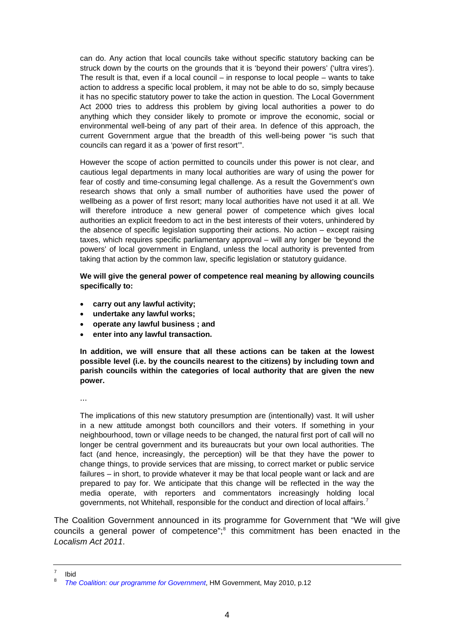can do. Any action that local councils take without specific statutory backing can be struck down by the courts on the grounds that it is 'beyond their powers' ('ultra vires'). The result is that, even if a local council  $-$  in response to local people  $-$  wants to take action to address a specific local problem, it may not be able to do so, simply because it has no specific statutory power to take the action in question. The Local Government Act 2000 tries to address this problem by giving local authorities a power to do anything which they consider likely to promote or improve the economic, social or environmental well-being of any part of their area. In defence of this approach, the current Government argue that the breadth of this well-being power "is such that councils can regard it as a 'power of first resort'".

However the scope of action permitted to councils under this power is not clear, and cautious legal departments in many local authorities are wary of using the power for fear of costly and time-consuming legal challenge. As a result the Government's own research shows that only a small number of authorities have used the power of wellbeing as a power of first resort; many local authorities have not used it at all. We will therefore introduce a new general power of competence which gives local authorities an explicit freedom to act in the best interests of their voters, unhindered by the absence of specific legislation supporting their actions. No action – except raising taxes, which requires specific parliamentary approval – will any longer be 'beyond the powers' of local government in England, unless the local authority is prevented from taking that action by the common law, specific legislation or statutory guidance.

**We will give the general power of competence real meaning by allowing councils specifically to:** 

- **carry out any lawful activity;**
- **undertake any lawful works;**
- **operate any lawful business ; and**
- **enter into any lawful transaction.**

**In addition, we will ensure that all these actions can be taken at the lowest possible level (i.e. by the councils nearest to the citizens) by including town and parish councils within the categories of local authority that are given the new power.** 

...

The implications of this new statutory presumption are (intentionally) vast. It will usher in a new attitude amongst both councillors and their voters. If something in your neighbourhood, town or village needs to be changed, the natural first port of call will no longer be central government and its bureaucrats but your own local authorities. The fact (and hence, increasingly, the perception) will be that they have the power to change things, to provide services that are missing, to correct market or public service failures – in short, to provide whatever it may be that local people want or lack and are prepared to pay for. We anticipate that this change will be reflected in the way the media operate, with reporters and commentators increasingly holding local governments, not Whitehall, responsible for the conduct and direction of local affairs.<sup>[7](#page-3-0)</sup>

The Coalition Government announced in its programme for Government that "We will give councils a general power of competence";<sup>[8](#page-3-1)</sup> this commitment has been enacted in the *Localism Act 2011*.

<span id="page-3-0"></span><sup>7</sup> Ibid

<span id="page-3-1"></span><sup>8</sup> *[The Coalition: our programme for Government](http://www.cabinetoffice.gov.uk/media/409088/pfg_coalition.pdf)*, HM Government, May 2010, p.12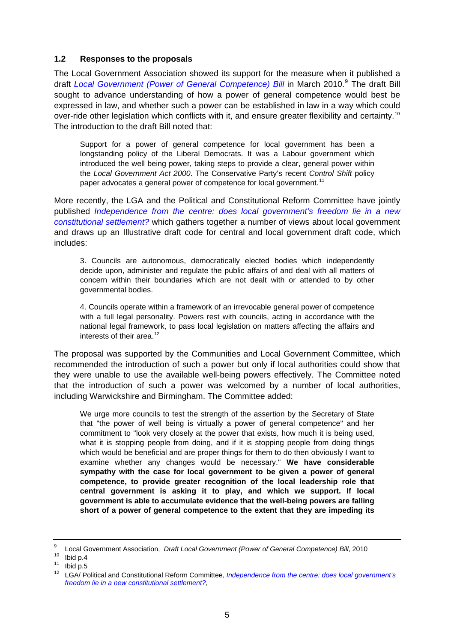#### <span id="page-4-0"></span>**1.2 Responses to the proposals**

The Local Government Association showed its support for the measure when it published a draft [Local Government \(Power of General Competence\) Bill](https://member.lgiu.org.uk/briefings/2010/Documents/LGA%20PGC%20Bill%20final%20050310%20with%20introduction.pdf) in March 2010.<sup>[9](#page-4-1)</sup> The draft Bill sought to advance understanding of how a power of general competence would best be expressed in law, and whether such a power can be established in law in a way which could over-ride other legislation which conflicts with it, and ensure greater flexibility and certainty.<sup>[10](#page-4-2)</sup> The introduction to the draft Bill noted that:

Support for a power of general competence for local government has been a longstanding policy of the Liberal Democrats. It was a Labour government which introduced the well being power, taking steps to provide a clear, general power within the *Local Government Act 2000*. The Conservative Party's recent *Control Shift* policy paper advocates a general power of competence for local government.<sup>[11](#page-4-3)</sup>

More recently, the LGA and the Political and Constitutional Reform Committee have jointly published *[Independence from the centre: does local government's freedom lie in a new](http://www.local.gov.uk/c/document_library/get_file?uuid=af65cd91-f97c-4511-a4cc-461e6a592a30&groupId=10161)  [constitutional settlement?](http://www.local.gov.uk/c/document_library/get_file?uuid=af65cd91-f97c-4511-a4cc-461e6a592a30&groupId=10161)* which gathers together a number of views about local government and draws up an Illustrative draft code for central and local government draft code, which includes:

3. Councils are autonomous, democratically elected bodies which independently decide upon, administer and regulate the public affairs of and deal with all matters of concern within their boundaries which are not dealt with or attended to by other governmental bodies.

4. Councils operate within a framework of an irrevocable general power of competence with a full legal personality. Powers rest with councils, acting in accordance with the national legal framework, to pass local legislation on matters affecting the affairs and interests of their area. $12$ 

The proposal was supported by the Communities and Local Government Committee, which recommended the introduction of such a power but only if local authorities could show that they were unable to use the available well-being powers effectively. The Committee noted that the introduction of such a power was welcomed by a number of local authorities, including Warwickshire and Birmingham. The Committee added:

We urge more councils to test the strength of the assertion by the Secretary of State that "the power of well being is virtually a power of general competence" and her commitment to "look very closely at the power that exists, how much it is being used, what it is stopping people from doing, and if it is stopping people from doing things which would be beneficial and are proper things for them to do then obviously I want to examine whether any changes would be necessary." **We have considerable sympathy with the case for local government to be given a power of general competence, to provide greater recognition of the local leadership role that central government is asking it to play, and which we support. If local government is able to accumulate evidence that the well-being powers are falling short of a power of general competence to the extent that they are impeding its** 

<span id="page-4-2"></span><span id="page-4-1"></span><sup>9</sup> <sup>9</sup> Local Government Association, *Draft Local Government (Power of General Competence) Bill*, 2010<br><sup>10</sup> Ibid p.4

<span id="page-4-3"></span> $11$  Ibid p.5

<span id="page-4-4"></span><sup>12</sup> LGA/ Political and Constitutional Reform Committee, *[Independence from the centre: does local government's](http://www.local.gov.uk/c/document_library/get_file?uuid=af65cd91-f97c-4511-a4cc-461e6a592a30&groupId=10161)  [freedom lie in a new constitutional settlement?](http://www.local.gov.uk/c/document_library/get_file?uuid=af65cd91-f97c-4511-a4cc-461e6a592a30&groupId=10161)*,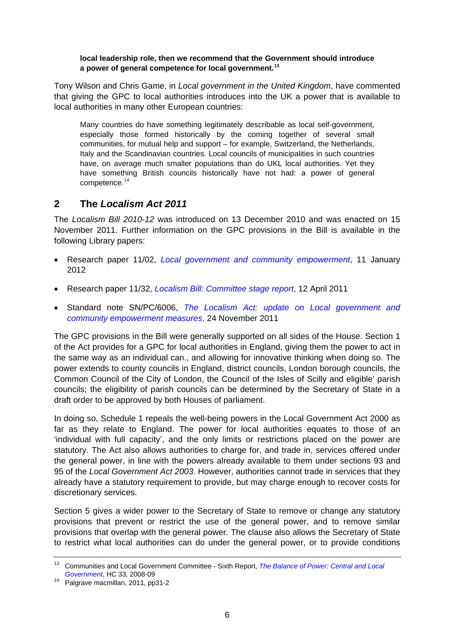#### <span id="page-5-0"></span>**local leadership role, then we recommend that the Government should introduce a power of general competence for local government.[13](#page-5-1)**

Tony Wilson and Chris Game, in *Local government in the United Kingdom*, have commented that giving the GPC to local authorities introduces into the UK a power that is available to local authorities in many other European countries:

Many countries do have something legitimately describable as local self-government, especially those formed historically by the coming together of several small communities, for mutual help and support – for example, Switzerland, the Netherlands, Italy and the Scandinavian countries. Local councils of municipalities in such countries have, on average much smaller populations than do UKL local authorities. Yet they have something British councils historically have not had: a power of general competence.[14](#page-5-2)

## **2 The** *Localism Act 2011*

The *Localism Bill 2010-12* was introduced on 13 December 2010 and was enacted on 15 November 2011. Further information on the GPC provisions in the Bill is available in the following Library papers:

- Research paper 11/02, *[Local government and community empowerment](http://www.parliament.uk/briefing-papers/RP11-02)*, 11 January 2012
- Research paper 11/32, *[Localism Bill: Committee stage report](http://www.parliament.uk/briefing-papers/RP11-32)*, 12 April 2011
- Standard note SN/PC/6006, *[The Localism Act: update on Local government and](http://www.parliament.uk/briefing-papers/SN06006)  [community empowerment measures](http://www.parliament.uk/briefing-papers/SN06006)*, 24 November 2011

The GPC provisions in the Bill were generally supported on all sides of the House. Section 1 of the Act provides for a GPC for local authorities in England, giving them the power to act in the same way as an individual can., and allowing for innovative thinking when doing so. The power extends to county councils in England, district councils, London borough councils, the Common Council of the City of London, the Council of the Isles of Scilly and eligible' parish councils; the eligibility of parish councils can be determined by the Secretary of State in a draft order to be approved by both Houses of parliament.

In doing so, Schedule 1 repeals the well-being powers in the Local Government Act 2000 as far as they relate to England. The power for local authorities equates to those of an 'individual with full capacity', and the only limits or restrictions placed on the power are statutory. The Act also allows authorities to charge for, and trade in, services offered under the general power, in line with the powers already available to them under sections 93 and 95 of the *Local Government Act 2003*. However, authorities cannot trade in services that they already have a statutory requirement to provide, but may charge enough to recover costs for discretionary services.

Section 5 gives a wider power to the Secretary of State to remove or change any statutory provisions that prevent or restrict the use of the general power, and to remove similar provisions that overlap with the general power. The clause also allows the Secretary of State to restrict what local authorities can do under the general power, or to provide conditions

<span id="page-5-1"></span><sup>13</sup> Communities and Local Government Committee - Sixth Report, *[The Balance of Power: Central and Local](http://www.parliament.the-stationery-office.co.uk/pa/cm200809/cmselect/cmcomloc/33/33i.pdf)* 

<span id="page-5-2"></span><sup>&</sup>lt;sup>14</sup> Palgrave macmillan[,](http://www.parliament.the-stationery-office.co.uk/pa/cm200809/cmselect/cmcomloc/33/33i.pdf) 2011, pp31-2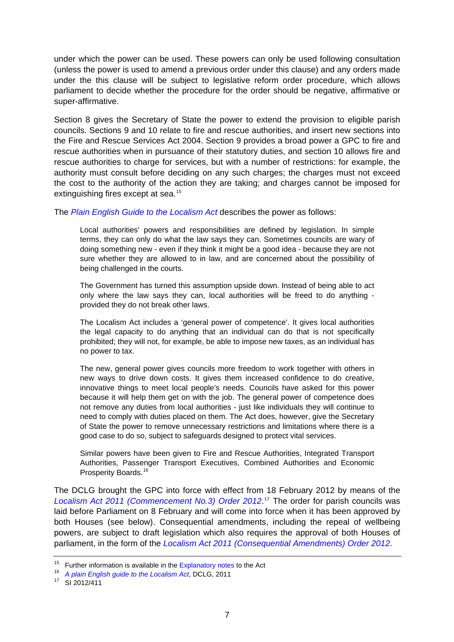under which the power can be used. These powers can only be used following consultation (unless the power is used to amend a previous order under this clause) and any orders made under the this clause will be subject to legislative reform order procedure, which allows parliament to decide whether the procedure for the order should be negative, affirmative or super-affirmative.

Section 8 gives the Secretary of State the power to extend the provision to eligible parish councils. Sections 9 and 10 relate to fire and rescue authorities, and insert new sections into the Fire and Rescue Services Act 2004. Section 9 provides a broad power a GPC to fire and rescue authorities when in pursuance of their statutory duties, and section 10 allows fire and rescue authorities to charge for services, but with a number of restrictions: for example, the authority must consult before deciding on any such charges; the charges must not exceed the cost to the authority of the action they are taking; and charges cannot be imposed for extinguishing fires except at sea.<sup>[15](#page-6-0)</sup>

The *[Plain English Guide to the Localism Act](http://www.communities.gov.uk/publications/localgovernment/localismplainenglishupdate)* describes the power as follows:

Local authorities' powers and responsibilities are defined by legislation. In simple terms, they can only do what the law says they can. Sometimes councils are wary of doing something new - even if they think it might be a good idea - because they are not sure whether they are allowed to in law, and are concerned about the possibility of being challenged in the courts.

The Government has turned this assumption upside down. Instead of being able to act only where the law says they can, local authorities will be freed to do anything provided they do not break other laws.

The Localism Act includes a 'general power of competence'. It gives local authorities the legal capacity to do anything that an individual can do that is not specifically prohibited; they will not, for example, be able to impose new taxes, as an individual has no power to tax.

The new, general power gives councils more freedom to work together with others in new ways to drive down costs. It gives them increased confidence to do creative, innovative things to meet local people's needs. Councils have asked for this power because it will help them get on with the job. The general power of competence does not remove any duties from local authorities - just like individuals they will continue to need to comply with duties placed on them. The Act does, however, give the Secretary of State the power to remove unnecessary restrictions and limitations where there is a good case to do so, subject to safeguards designed to protect vital services.

Similar powers have been given to Fire and Rescue Authorities, Integrated Transport Authorities, Passenger Transport Executives, Combined Authorities and Economic Prosperity Boards.<sup>[16](#page-6-1)</sup>

The DCLG brought the GPC into force with effect from 18 February 2012 by means of the *[Localism Act 2011 \(Commencement No.3\) Order 2012](http://www.legislation.gov.uk/uksi/2012/411/contents/made)*. [17](#page-6-2) The order for parish councils was laid before Parliament on 8 February and will come into force when it has been approved by both Houses (see below). Consequential amendments, including the repeal of wellbeing powers, are subject to draft legislation which also requires the approval of both Houses of parliament, in the form of the *[Localism Act 2011 \(Consequential Amendments\) Order 2012](http://www.legislation.gov.uk/ukdsi/2012/9780111519912)*.

<span id="page-6-1"></span><span id="page-6-0"></span><sup>&</sup>lt;sup>15</sup> Further information is available in the [Explanatory notes](http://www.legislation.gov.uk/ukpga/2011/20/notes/contents) to the Act <sup>16</sup> *A plain English guide to the Localism Act*, DCLG, 2011 <sup>17</sup> SI 2012/411

<span id="page-6-2"></span>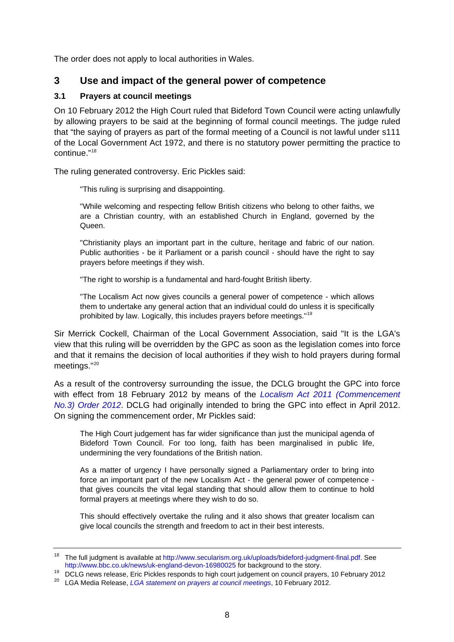<span id="page-7-0"></span>The order does not apply to local authorities in Wales.

## **3 Use and impact of the general power of competence**

### **3.1 Prayers at council meetings**

On 10 February 2012 the High Court ruled that Bideford Town Council were acting unlawfully by allowing prayers to be said at the beginning of formal council meetings. The judge ruled that "the saying of prayers as part of the formal meeting of a Council is not lawful under s111 of the Local Government Act 1972, and there is no statutory power permitting the practice to continue."[18](#page-7-1)

The ruling generated controversy. Eric Pickles said:

"This ruling is surprising and disappointing.

"While welcoming and respecting fellow British citizens who belong to other faiths, we are a Christian country, with an established Church in England, governed by the Queen.

"Christianity plays an important part in the culture, heritage and fabric of our nation. Public authorities - be it Parliament or a parish council - should have the right to say prayers before meetings if they wish.

"The right to worship is a fundamental and hard-fought British liberty.

"The Localism Act now gives councils a general power of competence - which allows them to undertake any general action that an individual could do unless it is specifically prohibited by law. Logically, this includes prayers before meetings."[19](#page-7-2)

Sir Merrick Cockell, Chairman of the Local Government Association, said "It is the LGA's view that this ruling will be overridden by the GPC as soon as the legislation comes into force and that it remains the decision of local authorities if they wish to hold prayers during formal meetings."<sup>[20](#page-7-3)</sup>

As a result of the controversy surrounding the issue, the DCLG brought the GPC into force with effect from 18 February 2012 by means of the *[Localism Act 2011 \(Commencement](http://www.legislation.gov.uk/uksi/2012/411/contents/made)  [No.3\) Order 2012](http://www.legislation.gov.uk/uksi/2012/411/contents/made)*. DCLG had originally intended to bring the GPC into effect in April 2012. On signing the commencement order, Mr Pickles said:

The High Court judgement has far wider significance than just the municipal agenda of Bideford Town Council. For too long, faith has been marginalised in public life, undermining the very foundations of the British nation.

As a matter of urgency I have personally signed a Parliamentary order to bring into force an important part of the new Localism Act - the general power of competence that gives councils the vital legal standing that should allow them to continue to hold formal prayers at meetings where they wish to do so.

This should effectively overtake the ruling and it also shows that greater localism can give local councils the strength and freedom to act in their best interests.

<span id="page-7-1"></span><sup>&</sup>lt;sup>18</sup> The full judgment is available at <http://www.secularism.org.uk/uploads/bideford-judgment-final.pdf>. See<br>http://www.bbc.co.uk/news/uk-england-devon-16980025 for background to the story.

DCLG news release, Eric Pickles responds to high court judgement on council prayers, 10 February 2012

<span id="page-7-3"></span><span id="page-7-2"></span><sup>20</sup> LGA Media Release, *[LGA statement on prayers at council meetings](http://www.local.gov.uk/web/guest/media-releases/-/journal_content/56/10161/3470428/NEWS-TEMPLATE)*, 10 February 2012.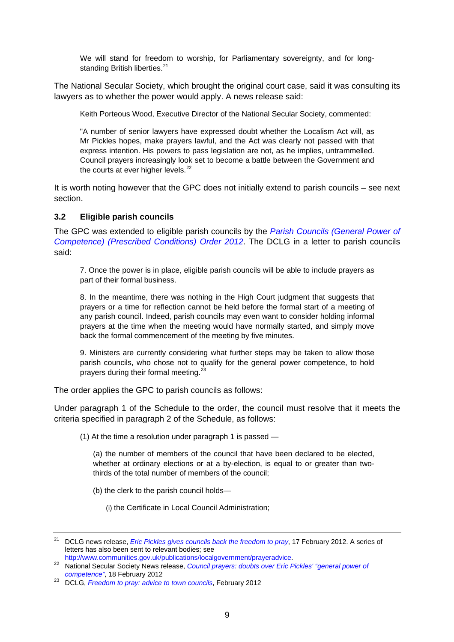<span id="page-8-0"></span>We will stand for freedom to worship, for Parliamentary sovereignty, and for long-standing British liberties.<sup>[21](#page-8-1)</sup>

The National Secular Society, which brought the original court case, said it was consulting its lawyers as to whether the power would apply. A news release said:

Keith Porteous Wood, Executive Director of the National Secular Society, commented:

"A number of senior lawyers have expressed doubt whether the Localism Act will, as Mr Pickles hopes, make prayers lawful, and the Act was clearly not passed with that express intention. His powers to pass legislation are not, as he implies, untrammelled. Council prayers increasingly look set to become a battle between the Government and the courts at ever higher levels. $^{22}$  $^{22}$  $^{22}$ 

It is worth noting however that the GPC does not initially extend to parish councils – see next section.

#### **3.2 Eligible parish councils**

The GPC was extended to eligible parish councils by the *[Parish Councils \(General Power of](http://www.legislation.gov.uk/uksi/2012/965/contents/made)  [Competence\) \(Prescribed Conditions\) Order 2012](http://www.legislation.gov.uk/uksi/2012/965/contents/made)*. The DCLG in a letter to parish councils said:

7. Once the power is in place, eligible parish councils will be able to include prayers as part of their formal business.

8. In the meantime, there was nothing in the High Court judgment that suggests that prayers or a time for reflection cannot be held before the formal start of a meeting of any parish council. Indeed, parish councils may even want to consider holding informal prayers at the time when the meeting would have normally started, and simply move back the formal commencement of the meeting by five minutes.

9. Ministers are currently considering what further steps may be taken to allow those parish councils, who chose not to qualify for the general power competence, to hold prayers during their formal meeting.<sup>[23](#page-8-3)</sup>

The order applies the GPC to parish councils as follows:

Under paragraph 1 of the Schedule to the order, the council must resolve that it meets the criteria specified in paragraph 2 of the Schedule, as follows:

(1) At the time a resolution under paragraph 1 is passed —

(a) the number of members of the council that have been declared to be elected, whether at ordinary elections or at a by-election, is equal to or greater than twothirds of the total number of members of the council;

(b) the clerk to the parish council holds—

(i) the Certificate in Local Council Administration;

<span id="page-8-1"></span><sup>21</sup> DCLG news release, *[Eric Pickles gives councils back the freedom to pray](http://www.communities.gov.uk/news/localgovernment/2091527)*, 17 February 2012. A series of letters has also been sent to relevant bodies; see<br>http://www.communities.gov.uk/publications/localgovernment/prayeradvice.

<span id="page-8-2"></span>http://www.communities.gov.uk/publications/local/prayers: doubts over Eric Pickles' "general power of <sup>22</sup> National Secular Society News release, *Council prayers: doubts over Eric Pickles' "general power of competence"*, 18 February 2012 23 DCLG, *[Freedom to pray: advice to town councils](http://www.communities.gov.uk/documents/localgovernment/pdf/2092285.pdf)*, February 2012

<span id="page-8-3"></span>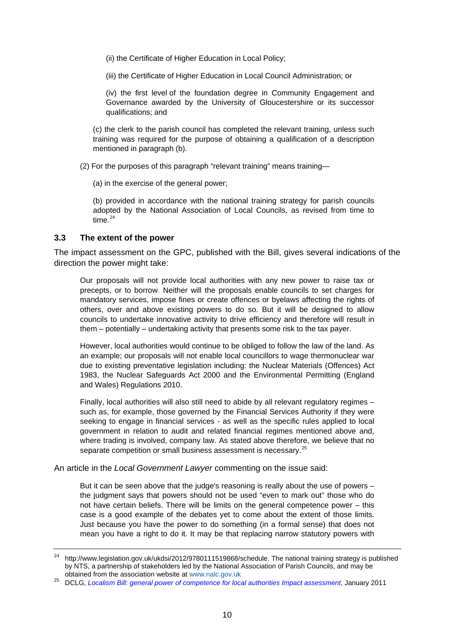<span id="page-9-0"></span>(ii) the Certificate of Higher Education in Local Policy;

(iii) the Certificate of Higher Education in Local Council Administration; or

(iv) the first level of the foundation degree in Community Engagement and Governance awarded by the University of Gloucestershire or its successor qualifications; and

(c) the clerk to the parish council has completed the relevant training, unless such training was required for the purpose of obtaining a qualification of a description mentioned in paragraph (b).

(2) For the purposes of this paragraph "relevant training" means training—

(a) in the exercise of the general power;

(b) provided in accordance with the national training strategy for parish councils adopted by the National Association of Local Councils, as revised from time to time. $24$ 

#### **3.3 The extent of the power**

The impact assessment on the GPC, published with the Bill, gives several indications of the direction the power might take:

Our proposals will not provide local authorities with any new power to raise tax or precepts, or to borrow. Neither will the proposals enable councils to set charges for mandatory services, impose fines or create offences or byelaws affecting the rights of others, over and above existing powers to do so. But it will be designed to allow councils to undertake innovative activity to drive efficiency and therefore will result in them – potentially – undertaking activity that presents some risk to the tax payer.

However, local authorities would continue to be obliged to follow the law of the land. As an example; our proposals will not enable local councillors to wage thermonuclear war due to existing preventative legislation including: the Nuclear Materials (Offences) Act 1983, the Nuclear Safeguards Act 2000 and the Environmental Permitting (England and Wales) Regulations 2010.

Finally, local authorities will also still need to abide by all relevant regulatory regimes – such as, for example, those governed by the Financial Services Authority if they were seeking to engage in financial services - as well as the specific rules applied to local government in relation to audit and related financial regimes mentioned above and, where trading is involved, company law. As stated above therefore, we believe that no separate competition or small business assessment is necessary.<sup>[25](#page-9-2)</sup>

An article in the *Local Government Lawyer* commenting on the issue said:

But it can be seen above that the judge's reasoning is really about the use of powers – the judgment says that powers should not be used "even to mark out" those who do not have certain beliefs. There will be limits on the general competence power – this case is a good example of the debates yet to come about the extent of those limits. Just because you have the power to do something (in a formal sense) that does not mean you have a right to do it. It may be that replacing narrow statutory powers with

<span id="page-9-1"></span><sup>&</sup>lt;sup>24</sup> http://www.legislation.gov.uk/ukdsi/2012/9780111519868/schedule. The national training strategy is published by NTS, a partnership of stakeholders led by the National Association of Parish Councils, and may be obtained from the association website at [www.nalc.gov.uk](http://www.nalc.gov.uk/)

<span id="page-9-2"></span><sup>25</sup> DCLG, *[Localism Bill: general power of competence for local authorities Impact assessment](http://www.communities.gov.uk/documents/localgovernment/pdf/1829750.pdf)*, January 2011